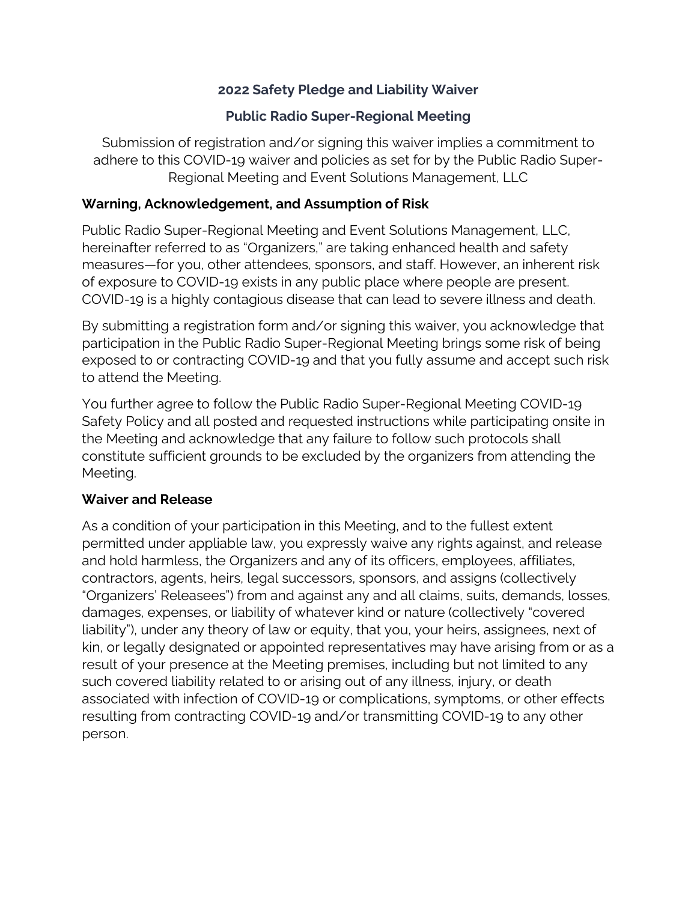## **2022 Safety Pledge and Liability Waiver**

## **Public Radio Super-Regional Meeting**

Submission of registration and/or signing this waiver implies a commitment to adhere to this COVID-19 waiver and policies as set for by the Public Radio Super-Regional Meeting and Event Solutions Management, LLC

## **Warning, Acknowledgement, and Assumption of Risk**

Public Radio Super-Regional Meeting and Event Solutions Management, LLC, hereinafter referred to as "Organizers," are taking enhanced health and safety measures—for you, other attendees, sponsors, and staff. However, an inherent risk of exposure to COVID-19 exists in any public place where people are present. COVID-19 is a highly contagious disease that can lead to severe illness and death.

By submitting a registration form and/or signing this waiver, you acknowledge that participation in the Public Radio Super-Regional Meeting brings some risk of being exposed to or contracting COVID-19 and that you fully assume and accept such risk to attend the Meeting.

You further agree to follow the Public Radio Super-Regional Meeting COVID-19 Safety Policy and all posted and requested instructions while participating onsite in the Meeting and acknowledge that any failure to follow such protocols shall constitute sufficient grounds to be excluded by the organizers from attending the Meeting.

## **Waiver and Release**

As a condition of your participation in this Meeting, and to the fullest extent permitted under appliable law, you expressly waive any rights against, and release and hold harmless, the Organizers and any of its officers, employees, affiliates, contractors, agents, heirs, legal successors, sponsors, and assigns (collectively "Organizers' Releasees") from and against any and all claims, suits, demands, losses, damages, expenses, or liability of whatever kind or nature (collectively "covered liability"), under any theory of law or equity, that you, your heirs, assignees, next of kin, or legally designated or appointed representatives may have arising from or as a result of your presence at the Meeting premises, including but not limited to any such covered liability related to or arising out of any illness, injury, or death associated with infection of COVID-19 or complications, symptoms, or other effects resulting from contracting COVID-19 and/or transmitting COVID-19 to any other person.